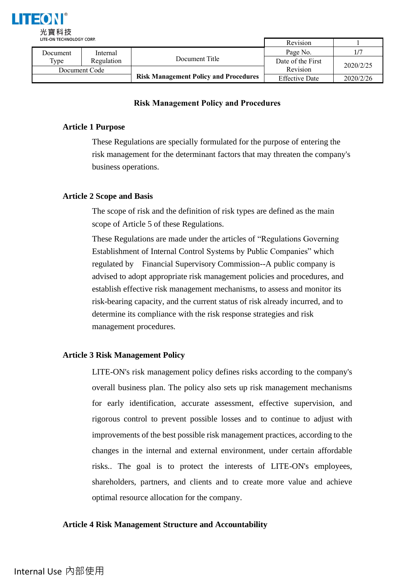

|               | LITE-UN TECHNOLOGI CONF. |                                              |                       |           |
|---------------|--------------------------|----------------------------------------------|-----------------------|-----------|
| Document      | Internal                 |                                              | Page No.              |           |
| Type          | Regulation               | Document Title                               | Date of the First     | 2020/2/25 |
| Document Code |                          |                                              | Revision              |           |
|               |                          | <b>Risk Management Policy and Procedures</b> | <b>Effective Date</b> | 2020/2/26 |

# **Risk Management Policy and Procedures**

# **Article 1 Purpose**

These Regulations are specially formulated for the purpose of entering the risk management for the determinant factors that may threaten the company's business operations.

# **Article 2 Scope and Basis**

The scope of risk and the definition of risk types are defined as the main scope of Article 5 of these Regulations.

These Regulations are made under the articles of "Regulations Governing Establishment of Internal Control Systems by Public Companies" which regulated by Financial Supervisory Commission--A public company is advised to adopt appropriate risk management policies and procedures, and establish effective risk management mechanisms, to assess and monitor its risk-bearing capacity, and the current status of risk already incurred, and to determine its compliance with the risk response strategies and risk management procedures.

## **Article 3 Risk Management Policy**

LITE-ON's risk management policy defines risks according to the company's overall business plan. The policy also sets up risk management mechanisms for early identification, accurate assessment, effective supervision, and rigorous control to prevent possible losses and to continue to adjust with improvements of the best possible risk management practices, according to the changes in the internal and external environment, under certain affordable risks.. The goal is to protect the interests of LITE-ON's employees, shareholders, partners, and clients and to create more value and achieve optimal resource allocation for the company.

## **Article 4 Risk Management Structure and Accountability**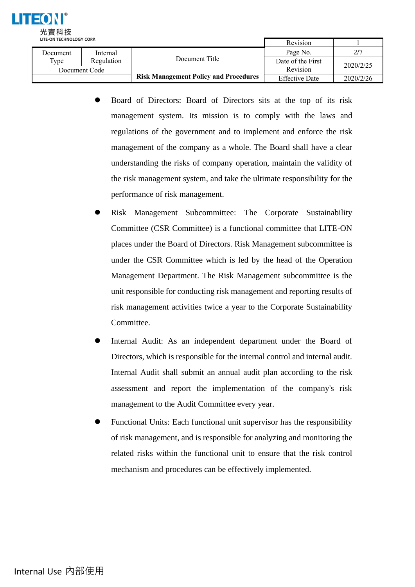

| LITE-UN TECHNOLOGY CORP. |            |                                              | Revision              |           |
|--------------------------|------------|----------------------------------------------|-----------------------|-----------|
| Document                 | Internal   |                                              | Page No.              | 217       |
| Type                     | Regulation | Document Title                               | Date of the First     | 2020/2/25 |
| Document Code            |            |                                              | Revision              |           |
|                          |            | <b>Risk Management Policy and Procedures</b> | <b>Effective Date</b> | 2020/2/26 |

- ⚫ Board of Directors: Board of Directors sits at the top of its risk management system. Its mission is to comply with the laws and regulations of the government and to implement and enforce the risk management of the company as a whole. The Board shall have a clear understanding the risks of company operation, maintain the validity of the risk management system, and take the ultimate responsibility for the performance of risk management.
- ⚫ Risk Management Subcommittee: The Corporate Sustainability Committee (CSR Committee) is a functional committee that LITE-ON places under the Board of Directors. Risk Management subcommittee is under the CSR Committee which is led by the head of the Operation Management Department. The Risk Management subcommittee is the unit responsible for conducting risk management and reporting results of risk management activities twice a year to the Corporate Sustainability Committee.
- ⚫ Internal Audit: As an independent department under the Board of Directors, which is responsible for the internal control and internal audit. Internal Audit shall submit an annual audit plan according to the risk assessment and report the implementation of the company's risk management to the Audit Committee every year.
- ⚫ Functional Units: Each functional unit supervisor has the responsibility of risk management, and is responsible for analyzing and monitoring the related risks within the functional unit to ensure that the risk control mechanism and procedures can be effectively implemented.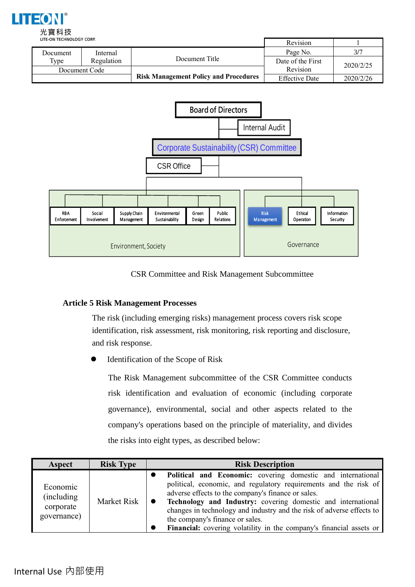

|               | LITE-ON TECHNOLOGY CORP. |                                              |                       |           |
|---------------|--------------------------|----------------------------------------------|-----------------------|-----------|
| Document      | Internal                 |                                              | Page No.              |           |
| Type          | Regulation               | Document Title                               | Date of the First     | 2020/2/25 |
| Document Code |                          |                                              | Revision              |           |
|               |                          | <b>Risk Management Policy and Procedures</b> | <b>Effective Date</b> | 2020/2/26 |



CSR Committee and Risk Management Subcommittee

# **Article 5 Risk Management Processes**

The risk (including emerging risks) management process covers risk scope identification, risk assessment, risk monitoring, risk reporting and disclosure, and risk response.

⚫ Identification of the Scope of Risk

The Risk Management subcommittee of the CSR Committee conducts risk identification and evaluation of economic (including corporate governance), environmental, social and other aspects related to the company's operations based on the principle of materiality, and divides the risks into eight types, as described below:

| Aspect                                              | <b>Risk Type</b> | <b>Risk Description</b>                                                                                                                                                                                                                                                                                                                                                                                                                  |  |
|-----------------------------------------------------|------------------|------------------------------------------------------------------------------------------------------------------------------------------------------------------------------------------------------------------------------------------------------------------------------------------------------------------------------------------------------------------------------------------------------------------------------------------|--|
| Economic<br>(including)<br>corporate<br>governance) | Market Risk      | Political and Economic: covering domestic and international<br>political, economic, and regulatory requirements and the risk of<br>adverse effects to the company's finance or sales.<br>Technology and Industry: covering domestic and international<br>changes in technology and industry and the risk of adverse effects to<br>the company's finance or sales.<br>Financial: covering volatility in the company's financial assets or |  |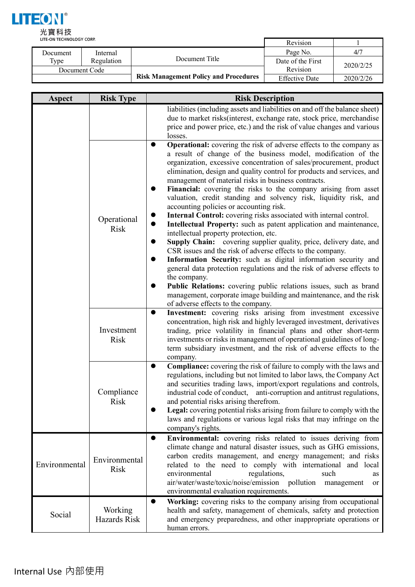

| LITE-ON TECHNOLOGY CORP. |            |                                              | Revision              |           |
|--------------------------|------------|----------------------------------------------|-----------------------|-----------|
| Document                 | Internal   |                                              | Page No.              | 4/7       |
| Type                     | Regulation | Document Title                               | Date of the First     | 2020/2/25 |
| Document Code            |            |                                              | Revision              |           |
|                          |            | <b>Risk Management Policy and Procedures</b> | <b>Effective Date</b> | 2020/2/26 |

| Aspect                                 | <b>Risk Type</b>             | <b>Risk Description</b>                                                                                                                                                                                                                                                                                                                                                                                                                                                                                                                                                                                                                                                                                                                                                                                                                                                                                                                                                                                                                                                                                                                                                                                                                              |
|----------------------------------------|------------------------------|------------------------------------------------------------------------------------------------------------------------------------------------------------------------------------------------------------------------------------------------------------------------------------------------------------------------------------------------------------------------------------------------------------------------------------------------------------------------------------------------------------------------------------------------------------------------------------------------------------------------------------------------------------------------------------------------------------------------------------------------------------------------------------------------------------------------------------------------------------------------------------------------------------------------------------------------------------------------------------------------------------------------------------------------------------------------------------------------------------------------------------------------------------------------------------------------------------------------------------------------------|
|                                        |                              | liabilities (including assets and liabilities on and off the balance sheet)<br>due to market risks (interest, exchange rate, stock price, merchandise<br>price and power price, etc.) and the risk of value changes and various<br>losses.                                                                                                                                                                                                                                                                                                                                                                                                                                                                                                                                                                                                                                                                                                                                                                                                                                                                                                                                                                                                           |
|                                        | Operational<br><b>Risk</b>   | <b>Operational:</b> covering the risk of adverse effects to the company as<br>$\bullet$<br>a result of change of the business model, modification of the<br>organization, excessive concentration of sales/procurement, product<br>elimination, design and quality control for products and services, and<br>management of material risks in business contracts.<br>Financial: covering the risks to the company arising from asset<br>valuation, credit standing and solvency risk, liquidity risk, and<br>accounting policies or accounting risk.<br>Internal Control: covering risks associated with internal control.<br>$\bullet$<br>$\bullet$<br>Intellectual Property: such as patent application and maintenance,<br>intellectual property protection, etc.<br>Supply Chain: covering supplier quality, price, delivery date, and<br>CSR issues and the risk of adverse effects to the company.<br>Information Security: such as digital information security and<br>general data protection regulations and the risk of adverse effects to<br>the company.<br>Public Relations: covering public relations issues, such as brand<br>management, corporate image building and maintenance, and the risk<br>of adverse effects to the company. |
| $\bullet$<br>Investment<br><b>Risk</b> |                              | Investment: covering risks arising from investment excessive<br>concentration, high risk and highly leveraged investment, derivatives<br>trading, price volatility in financial plans and other short-term<br>investments or risks in management of operational guidelines of long-<br>term subsidiary investment, and the risk of adverse effects to the<br>company.                                                                                                                                                                                                                                                                                                                                                                                                                                                                                                                                                                                                                                                                                                                                                                                                                                                                                |
|                                        | Compliance<br>Risk           | <b>Compliance:</b> covering the risk of failure to comply with the laws and<br>$\bullet$<br>regulations, including but not limited to labor laws, the Company Act<br>and securities trading laws, import/export regulations and controls,<br>industrial code of conduct, anti-corruption and antitrust regulations,<br>and potential risks arising therefrom.<br>Legal: covering potential risks arising from failure to comply with the<br>laws and regulations or various legal risks that may infringe on the<br>company's rights.                                                                                                                                                                                                                                                                                                                                                                                                                                                                                                                                                                                                                                                                                                                |
| Environmental                          | Environmental<br><b>Risk</b> | Environmental: covering risks related to issues deriving from<br>$\bullet$<br>climate change and natural disaster issues, such as GHG emissions,<br>carbon credits management, and energy management; and risks<br>related to the need to comply with international and local<br>environmental<br>regulations,<br>such<br>as<br>air/water/waste/toxic/noise/emission pollution<br>management<br>or<br>environmental evaluation requirements.                                                                                                                                                                                                                                                                                                                                                                                                                                                                                                                                                                                                                                                                                                                                                                                                         |
| Social                                 | Working<br>Hazards Risk      | Working: covering risks to the company arising from occupational<br>$\bullet$<br>health and safety, management of chemicals, safety and protection<br>and emergency preparedness, and other inappropriate operations or<br>human errors.                                                                                                                                                                                                                                                                                                                                                                                                                                                                                                                                                                                                                                                                                                                                                                                                                                                                                                                                                                                                             |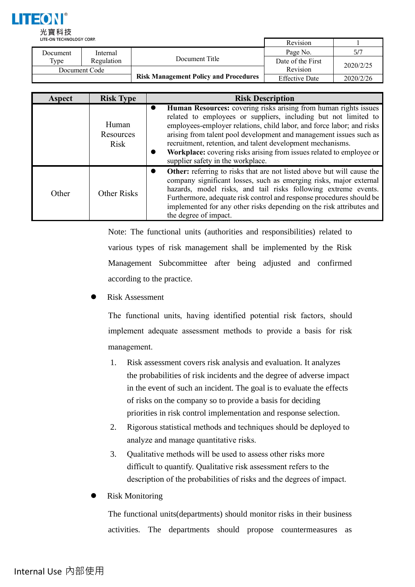

|               | LITE-ON TECHNOLOGY CORP. |                                              |                       |           |
|---------------|--------------------------|----------------------------------------------|-----------------------|-----------|
| Document      | Internal                 |                                              | Page No.              | 5/7       |
| Type          | Regulation               | Document Title                               | Date of the First     | 2020/2/25 |
| Document Code |                          |                                              | Revision              |           |
|               |                          | <b>Risk Management Policy and Procedures</b> | <b>Effective Date</b> | 2020/2/26 |

| <b>Aspect</b> | <b>Risk Type</b>                  | <b>Risk Description</b>                                                                                                                                                                                                                                                                                                                                                                                                                                                                 |
|---------------|-----------------------------------|-----------------------------------------------------------------------------------------------------------------------------------------------------------------------------------------------------------------------------------------------------------------------------------------------------------------------------------------------------------------------------------------------------------------------------------------------------------------------------------------|
|               | Human<br>Resources<br><b>Risk</b> | Human Resources: covering risks arising from human rights issues<br>$\bullet$<br>related to employees or suppliers, including but not limited to<br>employees-employer relations, child labor, and force labor; and risks<br>arising from talent pool development and management issues such as<br>recruitment, retention, and talent development mechanisms.<br>Workplace: covering risks arising from issues related to employee or<br>$\bullet$<br>supplier safety in the workplace. |
| Other         | <b>Other Risks</b>                | Other: referring to risks that are not listed above but will cause the<br>$\bullet$<br>company significant losses, such as emerging risks, major external<br>hazards, model risks, and tail risks following extreme events.<br>Furthermore, adequate risk control and response procedures should be<br>implemented for any other risks depending on the risk attributes and<br>the degree of impact.                                                                                    |

Note: The functional units (authorities and responsibilities) related to various types of risk management shall be implemented by the Risk Management Subcommittee after being adjusted and confirmed according to the practice.

⚫ Risk Assessment

The functional units, having identified potential risk factors, should implement adequate assessment methods to provide a basis for risk management.

- 1. Risk assessment covers risk analysis and evaluation. It analyzes the probabilities of risk incidents and the degree of adverse impact in the event of such an incident. The goal is to evaluate the effects of risks on the company so to provide a basis for deciding priorities in risk control implementation and response selection.
- 2. Rigorous statistical methods and techniques should be deployed to analyze and manage quantitative risks.
- 3. Qualitative methods will be used to assess other risks more difficult to quantify. Qualitative risk assessment refers to the description of the probabilities of risks and the degrees of impact.
- ⚫ Risk Monitoring

The functional units(departments) should monitor risks in their business activities. The departments should propose countermeasures as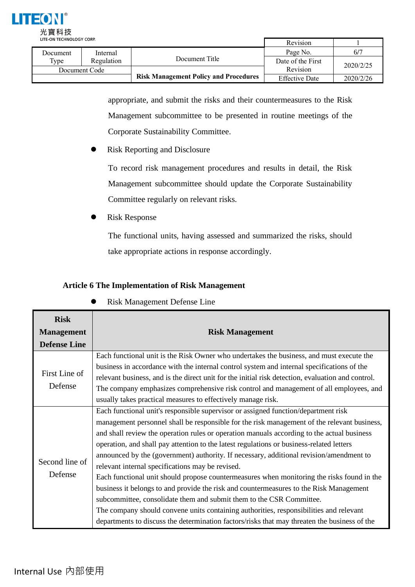

| LILE-UN ILLINULUGI LUNF. |            |                                              | Revision              |           |
|--------------------------|------------|----------------------------------------------|-----------------------|-----------|
| Document                 | Internal   |                                              | Page No.              | 6/7       |
| Type                     | Regulation | Document Title                               | Date of the First     | 2020/2/25 |
| Document Code            |            |                                              | Revision              |           |
|                          |            | <b>Risk Management Policy and Procedures</b> | <b>Effective Date</b> | 2020/2/26 |

appropriate, and submit the risks and their countermeasures to the Risk Management subcommittee to be presented in routine meetings of the Corporate Sustainability Committee.

⚫ Risk Reporting and Disclosure

To record risk management procedures and results in detail, the Risk Management subcommittee should update the Corporate Sustainability Committee regularly on relevant risks.

⚫ Risk Response

The functional units, having assessed and summarized the risks, should take appropriate actions in response accordingly.

# **Article 6 The Implementation of Risk Management**

| <b>Risk</b><br><b>Management</b><br><b>Defense Line</b> | <b>Risk Management</b>                                                                                                                                                                                                                                                                                                                                                                                                                                                                                                                                                                                                                                                                                                                                                                                                                                                                                                                                                               |
|---------------------------------------------------------|--------------------------------------------------------------------------------------------------------------------------------------------------------------------------------------------------------------------------------------------------------------------------------------------------------------------------------------------------------------------------------------------------------------------------------------------------------------------------------------------------------------------------------------------------------------------------------------------------------------------------------------------------------------------------------------------------------------------------------------------------------------------------------------------------------------------------------------------------------------------------------------------------------------------------------------------------------------------------------------|
| First Line of<br>Defense                                | Each functional unit is the Risk Owner who undertakes the business, and must execute the<br>business in accordance with the internal control system and internal specifications of the<br>relevant business, and is the direct unit for the initial risk detection, evaluation and control.<br>The company emphasizes comprehensive risk control and management of all employees, and<br>usually takes practical measures to effectively manage risk.                                                                                                                                                                                                                                                                                                                                                                                                                                                                                                                                |
| Second line of<br>Defense                               | Each functional unit's responsible supervisor or assigned function/department risk<br>management personnel shall be responsible for the risk management of the relevant business,<br>and shall review the operation rules or operation manuals according to the actual business<br>operation, and shall pay attention to the latest regulations or business-related letters<br>announced by the (government) authority. If necessary, additional revision/amendment to<br>relevant internal specifications may be revised.<br>Each functional unit should propose countermeasures when monitoring the risks found in the<br>business it belongs to and provide the risk and countermeasures to the Risk Management<br>subcommittee, consolidate them and submit them to the CSR Committee.<br>The company should convene units containing authorities, responsibilities and relevant<br>departments to discuss the determination factors/risks that may threaten the business of the |

# ⚫ Risk Management Defense Line